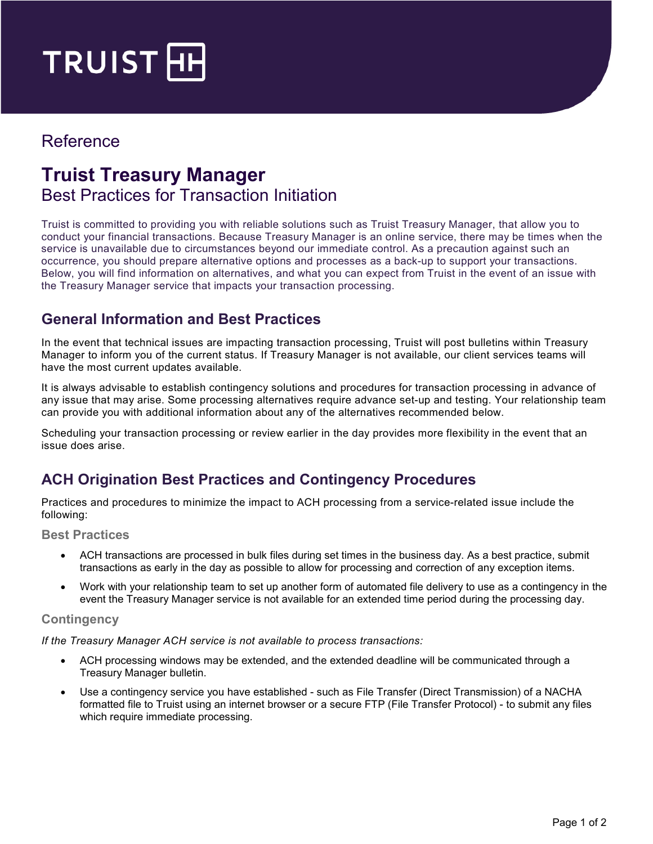

## Reference

# **Truist Treasury Manager**  Best Practices for Transaction Initiation

Truist is committed to providing you with reliable solutions such as Truist Treasury Manager, that allow you to conduct your financial transactions. Because Treasury Manager is an online service, there may be times when the service is unavailable due to circumstances beyond our immediate control. As a precaution against such an occurrence, you should prepare alternative options and processes as a back-up to support your transactions. Below, you will find information on alternatives, and what you can expect from Truist in the event of an issue with the Treasury Manager service that impacts your transaction processing.

#### **General Information and Best Practices**

In the event that technical issues are impacting transaction processing, Truist will post bulletins within Treasury Manager to inform you of the current status. If Treasury Manager is not available, our client services teams will have the most current updates available.

It is always advisable to establish contingency solutions and procedures for transaction processing in advance of any issue that may arise. Some processing alternatives require advance set-up and testing. Your relationship team can provide you with additional information about any of the alternatives recommended below.

Scheduling your transaction processing or review earlier in the day provides more flexibility in the event that an issue does arise.

### **ACH Origination Best Practices and Contingency Procedures**

Practices and procedures to minimize the impact to ACH processing from a service-related issue include the following:

**Best Practices**

- ACH transactions are processed in bulk files during set times in the business day. As a best practice, submit transactions as early in the day as possible to allow for processing and correction of any exception items.
- Work with your relationship team to set up another form of automated file delivery to use as a contingency in the event the Treasury Manager service is not available for an extended time period during the processing day.

#### **Contingency**

*If the Treasury Manager ACH service is not available to process transactions:*

- ACH processing windows may be extended, and the extended deadline will be communicated through a Treasury Manager bulletin.
- Use a contingency service you have established such as File Transfer (Direct Transmission) of a NACHA formatted file to Truist using an internet browser or a secure FTP (File Transfer Protocol) - to submit any files which require immediate processing.